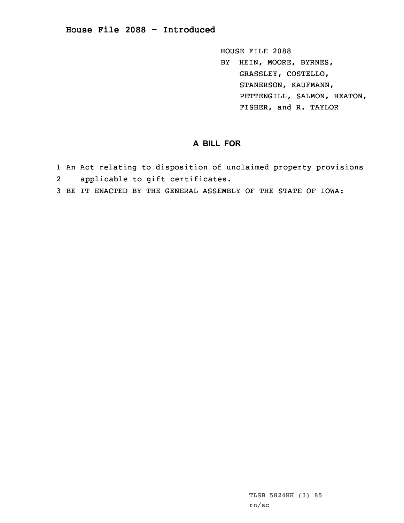HOUSE FILE 2088 BY HEIN, MOORE, BYRNES, GRASSLEY, COSTELLO, STANERSON, KAUFMANN, PETTENGILL, SALMON, HEATON, FISHER, and R. TAYLOR

## **A BILL FOR**

- 1 An Act relating to disposition of unclaimed property provisions 2applicable to gift certificates.
- 3 BE IT ENACTED BY THE GENERAL ASSEMBLY OF THE STATE OF IOWA: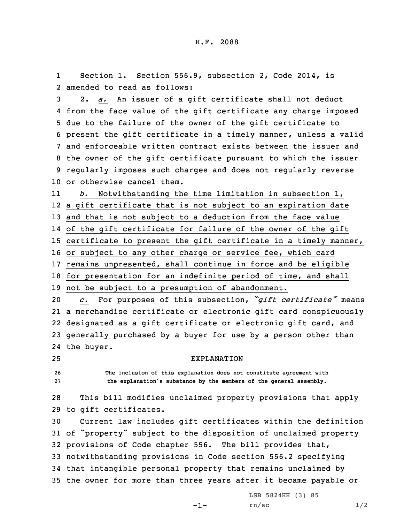1 Section 1. Section 556.9, subsection 2, Code 2014, is 2 amended to read as follows:

 2. *a.* An issuer of <sup>a</sup> gift certificate shall not deduct from the face value of the gift certificate any charge imposed due to the failure of the owner of the gift certificate to present the gift certificate in <sup>a</sup> timely manner, unless <sup>a</sup> valid and enforceable written contract exists between the issuer and the owner of the gift certificate pursuant to which the issuer regularly imposes such charges and does not regularly reverse or otherwise cancel them.

11 *b.* Notwithstanding the time limitation in subsection 1, <sup>a</sup> gift certificate that is not subject to an expiration date and that is not subject to <sup>a</sup> deduction from the face value of the gift certificate for failure of the owner of the gift certificate to present the gift certificate in <sup>a</sup> timely manner, or subject to any other charge or service fee, which card remains unpresented, shall continue in force and be eligible for presentation for an indefinite period of time, and shall not be subject to <sup>a</sup> presumption of abandonment.

 *c.* For purposes of this subsection, *"gift certificate"* means <sup>a</sup> merchandise certificate or electronic gift card conspicuously designated as <sup>a</sup> gift certificate or electronic gift card, and generally purchased by <sup>a</sup> buyer for use by <sup>a</sup> person other than the buyer.

25 EXPLANATION

26 **The inclusion of this explanation does not constitute agreement with** <sup>27</sup> **the explanation's substance by the members of the general assembly.**

28 This bill modifies unclaimed property provisions that apply 29 to gift certificates.

 Current law includes gift certificates within the definition of "property" subject to the disposition of unclaimed property provisions of Code chapter 556. The bill provides that, notwithstanding provisions in Code section 556.2 specifying that intangible personal property that remains unclaimed by the owner for more than three years after it became payable or

-1-

LSB 5824HH (3) 85  $rn/sec$  1/2